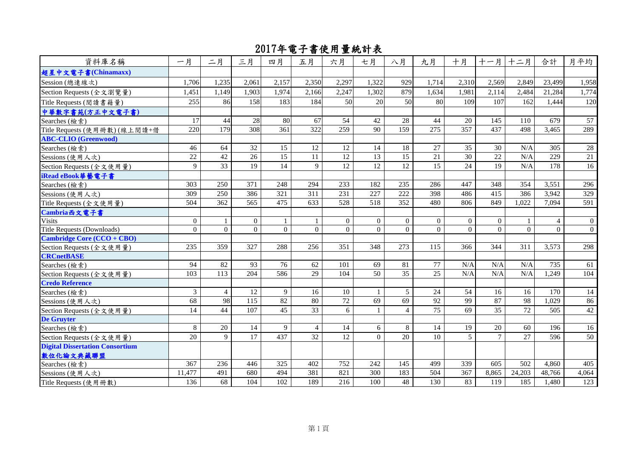| 資料庫名稱                                  | 一月              | 二月              | 三月              | 四月              | 五月             | 六月               | 七月              | 八月              | 九月               | 十月              |                 | 十一月 十二月  | 合計               | 月平均             |
|----------------------------------------|-----------------|-----------------|-----------------|-----------------|----------------|------------------|-----------------|-----------------|------------------|-----------------|-----------------|----------|------------------|-----------------|
| 超星中文電子書(Chinamaxx)                     |                 |                 |                 |                 |                |                  |                 |                 |                  |                 |                 |          |                  |                 |
| Session (總連線次)                         | 1,706           | 1,235           | 2,061           | 2,157           | 2,350          | 2,297            | 1,322           | 929             | 1,714            | 2,310           | 2,569           | 2,849    | 23,499           | 1,958           |
| Section Requests (全文瀏覽量)               | 1,451           | 1,149           | 1,903           | 1,974           | 2,166          | 2,247            | 1,302           | 879             | 1,634            | 1,981           | 2,114           | 2.484    | 21.284           | 1,774           |
| Title Requests (閱讀書籍量)                 | 255             | 86              | 158             | 183             | 184            | 50               | 20              | 50              | 80               | 109             | 107             | 162      | 1.444            | 120             |
| 中華數字書苑(方正中文電子書)                        |                 |                 |                 |                 |                |                  |                 |                 |                  |                 |                 |          |                  |                 |
| Searches (檢索)                          | 17              | 44              | 28              | 80              | 67             | 54               | 42              | 28              | 44               | 20              | 145             | 110      | 679              | $\overline{57}$ |
| Title Requests (使用冊數)(線上閱讀+借           | 220             | 179             | 308             | 361             | 322            | $\overline{259}$ | 90              | 159             | 275              | 357             | 437             | 498      | 3,465            | 289             |
| <b>ABC-CLIO</b> (Greenwood)            |                 |                 |                 |                 |                |                  |                 |                 |                  |                 |                 |          |                  |                 |
| Searches (檢索)                          | 46              | 64              | 32              | 15              | 12             | 12               | 14              | 18              | 27               | 35              | 30              | N/A      | 305              | $28\,$          |
| Sessions (使用人次)                        | $\overline{22}$ | $\overline{42}$ | $\overline{26}$ | $\overline{15}$ | 11             | $\overline{12}$  | $\overline{13}$ | $\overline{15}$ | $\overline{21}$  | $\overline{30}$ | $\overline{22}$ | N/A      | $\overline{229}$ | 21              |
| Section Requests (全文使用量)               | 9               | 33              | $\overline{19}$ | 14              | 9              | $\overline{12}$  | $\overline{12}$ | 12              | 15               | $\overline{24}$ | 19              | N/A      | 178              | 16              |
| iRead eBook 華藝電子書                      |                 |                 |                 |                 |                |                  |                 |                 |                  |                 |                 |          |                  |                 |
| Searches (檢索)                          | 303             | 250             | 371             | 248             | 294            | 233              | 182             | 235             | 286              | 447             | 348             | 354      | 3,551            | 296             |
| Sessions (使用人次)                        | 309             | 250             | 386             | 321             | 311            | 231              | 227             | 222             | 398              | 486             | 415             | 386      | 3,942            | 329             |
| Title Requests (全文使用量)                 | 504             | 362             | 565             | 475             | 633            | 528              | 518             | 352             | 480              | 806             | 849             | 1.022    | 7,094            | 591             |
| Cambria西文電子書                           |                 |                 |                 |                 |                |                  |                 |                 |                  |                 |                 |          |                  |                 |
| <b>Visits</b>                          | $\overline{0}$  |                 | $\overline{0}$  |                 | 1              | $\overline{0}$   | $\overline{0}$  | $\overline{0}$  | $\boldsymbol{0}$ | $\overline{0}$  | $\overline{0}$  | 1        | $\overline{4}$   | $\overline{0}$  |
| <b>Title Requests (Downloads)</b>      | $\overline{0}$  | $\theta$        | $\Omega$        | $\theta$        | $\Omega$       | $\Omega$         | $\Omega$        | $\Omega$        | $\theta$         | $\theta$        | $\Omega$        | $\Omega$ | $\Omega$         | $\overline{0}$  |
| <b>Cambridge Core (CCO + CBO)</b>      |                 |                 |                 |                 |                |                  |                 |                 |                  |                 |                 |          |                  |                 |
| Section Requests (全文使用量)               | 235             | 359             | 327             | 288             | 256            | 351              | 348             | 273             | 115              | 366             | 344             | 311      | 3,573            | 298             |
| <b>CRCnetBASE</b>                      |                 |                 |                 |                 |                |                  |                 |                 |                  |                 |                 |          |                  |                 |
| Searches (檢索)                          | 94              | 82              | 93              | 76              | 62             | 101              | 69              | 81              | 77               | N/A             | N/A             | N/A      | 735              | 61              |
| Section Requests (全文使用量)               | 103             | 113             | 204             | 586             | 29             | 104              | 50              | 35              | 25               | N/A             | N/A             | N/A      | 1,249            | 104             |
| <b>Credo Reference</b>                 |                 |                 |                 |                 |                |                  |                 |                 |                  |                 |                 |          |                  |                 |
| Searches (檢索)                          | $\mathfrak{Z}$  | $\overline{4}$  | 12              | 9               | 16             | 10               | -1              | 5               | 24               | 54              | 16              | 16       | 170              | 14              |
| Sessions (使用人次)                        | 68              | 98              | 115             | 82              | 80             | $\overline{72}$  | 69              | 69              | 92               | 99              | 87              | 98       | 1,029            | 86              |
| Section Requests (全文使用量)               | 14              | 44              | 107             | 45              | 33             | 6                | $\mathbf{1}$    | $\overline{4}$  | 75               | 69              | 35              | 72       | 505              | 42              |
| <b>De Gruyter</b>                      |                 |                 |                 |                 |                |                  |                 |                 |                  |                 |                 |          |                  |                 |
| Searches (檢索)                          | 8               | 20              | 14              | 9               | $\overline{4}$ | 14               | 6               | 8               | 14               | 19              | 20              | 60       | 196              | 16              |
| Section Requests (全文使用量)               | 20              | 9               | $\overline{17}$ | 437             | 32             | 12               | $\Omega$        | 20              | 10               | 5               | $\overline{7}$  | 27       | 596              | 50              |
| <b>Digital Dissertation Consortium</b> |                 |                 |                 |                 |                |                  |                 |                 |                  |                 |                 |          |                  |                 |
| 數位化論文典藏聯盟                              |                 |                 |                 |                 |                |                  |                 |                 |                  |                 |                 |          |                  |                 |
| Searches (檢索)                          | 367             | 236             | 446             | 325             | 402            | 752              | 242             | 145             | 499              | 339             | 605             | 502      | 4,860            | 405             |
| Sessions (使用人次)                        | 11,477          | 491             | 680             | 494             | 381            | 821              | 300             | 183             | 504              | 367             | 8,865           | 24,203   | 48,766           | 4,064           |
| Title Requests (使用冊數)                  | 136             | 68              | 104             | 102             | 189            | 216              | 100             | 48              | 130              | 83              | 119             | 185      | 1,480            | 123             |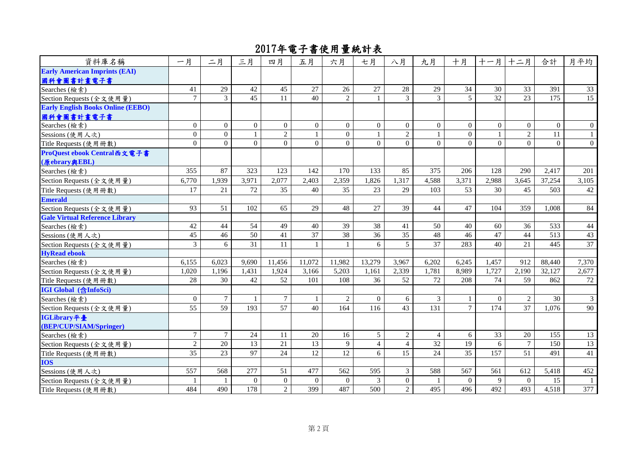| 資料庫名稱                                    | 一月             | 二月             | 三月             | 四月               | 五月             | 六月             | 七月             | 八月             | 九月               | 十月             | 十一月             | 十二月            | 合計             | 月平均            |
|------------------------------------------|----------------|----------------|----------------|------------------|----------------|----------------|----------------|----------------|------------------|----------------|-----------------|----------------|----------------|----------------|
| <b>Early American Imprints (EAI)</b>     |                |                |                |                  |                |                |                |                |                  |                |                 |                |                |                |
| 國科會圖書計畫電子書                               |                |                |                |                  |                |                |                |                |                  |                |                 |                |                |                |
| Searches (檢索)                            | 41             | 29             | 42             | 45               | 27             | 26             | 27             | 28             | 29               | 34             | 30              | 33             | 391            | 33             |
| Section Requests (全文使用量)                 | $\tau$         | 3              | 45             | 11               | 40             | $\overline{2}$ | $\mathbf{1}$   | 3              | 3                | $\overline{5}$ | $\overline{32}$ | 23             | 175            | 15             |
| <b>Early English Books Online (EEBO)</b> |                |                |                |                  |                |                |                |                |                  |                |                 |                |                |                |
| 國科會圖書計畫電子書                               |                |                |                |                  |                |                |                |                |                  |                |                 |                |                |                |
| Searches (檢索)                            | $\overline{0}$ | $\overline{0}$ | $\overline{0}$ | $\overline{0}$   | $\overline{0}$ | $\overline{0}$ | $\overline{0}$ | $\overline{0}$ | $\boldsymbol{0}$ | $\overline{0}$ | $\Omega$        | $\overline{0}$ | $\overline{0}$ | $\overline{0}$ |
| Sessions (使用人次)                          | $\overline{0}$ | $\overline{0}$ |                | $\overline{2}$   | $\mathbf{1}$   | $\mathbf{0}$   | $\mathbf{1}$   | $\overline{2}$ | $\overline{1}$   | $\overline{0}$ |                 | $\overline{2}$ | 11             | 1              |
| Title Requests (使用冊數)                    | $\overline{0}$ | $\overline{0}$ | $\overline{0}$ | $\overline{0}$   | $\Omega$       | $\theta$       | $\overline{0}$ | $\Omega$       | $\mathbf{0}$     | $\Omega$       | $\Omega$        | $\Omega$       | $\theta$       | $\overline{0}$ |
| ProQuest ebook Central西文電子書              |                |                |                |                  |                |                |                |                |                  |                |                 |                |                |                |
| (原ebrary與EBL)                            |                |                |                |                  |                |                |                |                |                  |                |                 |                |                |                |
| Searches (檢索)                            | 355            | 87             | 323            | 123              | 142            | 170            | 133            | 85             | 375              | 206            | 128             | 290            | 2,417          | 201            |
| Section Requests (全文使用量)                 | 6,770          | 1,939          | 3,971          | 2,077            | 2,403          | 2,359          | 1,826          | 1,317          | 4,588            | 3,371          | 2,988           | 3,645          | 37,254         | 3,105          |
| Title Requests (使用冊數)                    | 17             | 21             | 72             | 35               | 40             | 35             | 23             | 29             | 103              | 53             | 30              | 45             | 503            | 42             |
| <b>Emerald</b>                           |                |                |                |                  |                |                |                |                |                  |                |                 |                |                |                |
| Section Requests (全文使用量)                 | 93             | 51             | 102            | 65               | 29             | 48             | 27             | 39             | 44               | 47             | 104             | 359            | 1,008          | 84             |
| <b>Gale Virtual Reference Library</b>    |                |                |                |                  |                |                |                |                |                  |                |                 |                |                |                |
| Searches (檢索)                            | $42\,$         | 44             | 54             | 49               | 40             | 39             | 38             | 41             | 50               | 40             | 60              | 36             | 533            | 44             |
| Sessions (使用人次)                          | 45             | 46             | 50             | 41               | 37             | 38             | 36             | 35             | 48               | 46             | 47              | 44             | 513            | 43             |
| Section Requests (全文使用量)                 | $\overline{3}$ | 6              | 31             | 11               |                | 1              | 6              | 5              | 37               | 283            | 40              | 21             | 445            | 37             |
| <b>HyRead ebook</b>                      |                |                |                |                  |                |                |                |                |                  |                |                 |                |                |                |
| Searches (檢索)                            | 6,155          | 6,023          | 9,690          | 11,456           | 11,072         | 11,982         | 13,279         | 3,967          | 6,202            | 6,245          | 1,457           | 912            | 88,440         | 7,370          |
| Section Requests (全文使用量)                 | 1,020          | 1,196          | 1,431          | 1,924            | 3,166          | 5,203          | 1,161          | 2,339          | 1,781            | 8,989          | 1,727           | 2,190          | 32,127         | 2,677          |
| Title Requests (使用冊數)                    | 28             | 30             | 42             | 52               | 101            | 108            | 36             | 52             | 72               | 208            | 74              | 59             | 862            | 72             |
| <b>IGI Global</b> (含InfoSci)             |                |                |                |                  |                |                |                |                |                  |                |                 |                |                |                |
| Searches (檢索)                            | $\overline{0}$ | $\tau$         |                | $\tau$           | -1             | $\overline{2}$ | $\overline{0}$ | 6              | 3                | -1             | $\Omega$        | 2              | 30             | $\mathfrak{Z}$ |
| Section Requests (全文使用量)                 | 55             | 59             | 193            | $\overline{57}$  | 40             | 164            | 116            | 43             | 131              | $\tau$         | 174             | 37             | 1,076          | 90             |
| IGLibrary平臺                              |                |                |                |                  |                |                |                |                |                  |                |                 |                |                |                |
| (BEP/CUP/SIAM/Springer)                  |                |                |                |                  |                |                |                |                |                  |                |                 |                |                |                |
| Searches (檢索)                            | $\tau$         | $\tau$         | 24             | 11               | 20             | 16             | $\mathfrak{S}$ | $\overline{2}$ | $\overline{4}$   | 6              | 33              | 20             | 155            | 13             |
| Section Requests (全文使用量)                 | $\overline{2}$ | 20             | 13             | 21               | 13             | 9              | $\overline{4}$ | $\overline{4}$ | 32               | 19             | 6               | $\overline{7}$ | 150            | 13             |
| Title Requests (使用冊數)                    | 35             | 23             | 97             | 24               | 12             | 12             | 6              | 15             | 24               | 35             | 157             | 51             | 491            | 41             |
| <b>IOS</b>                               |                |                |                |                  |                |                |                |                |                  |                |                 |                |                |                |
| Sessions (使用人次)                          | 557            | 568            | 277            | 51               | 477            | 562            | 595            | $\mathfrak{Z}$ | 588              | 567            | 561             | 612            | 5,418          | 452            |
| Section Requests (全文使用量)                 |                |                | $\Omega$       | $\boldsymbol{0}$ | $\overline{0}$ | $\overline{0}$ | 3              | $\mathbf{0}$   | -1               | $\overline{0}$ | 9               | $\overline{0}$ | 15             | -1             |
| Title Requests (使用冊數)                    | 484            | 490            | 178            | $\sqrt{2}$       | 399            | 487            | 500            | $\overline{2}$ | 495              | 496            | 492             | 493            | 4,518          | 377            |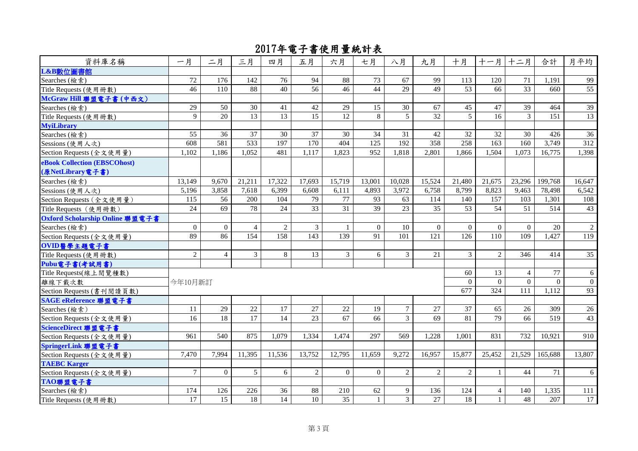| 資料庫名稱                           | 一月             | 二月              | 三月             | 四月              | 五月             | 六月             | 七月             | 八月             | 九月              | 十月              |          | 十一月 十二月        | 合計       | 月平均            |
|---------------------------------|----------------|-----------------|----------------|-----------------|----------------|----------------|----------------|----------------|-----------------|-----------------|----------|----------------|----------|----------------|
| L&B數位圖書館                        |                |                 |                |                 |                |                |                |                |                 |                 |          |                |          |                |
| Searches (檢索)                   | 72             | 176             | 142            | 76              | 94             | 88             | 73             | 67             | 99              | 113             | 120      | 71             | 1,191    | 99             |
| Title Requests (使用冊數)           | 46             | 110             | 88             | 40              | 56             | 46             | 44             | 29             | 49              | 53              | 66       | 33             | 660      | 55             |
| McGraw Hill 聯盟電子書(中西文)          |                |                 |                |                 |                |                |                |                |                 |                 |          |                |          |                |
| Searches (檢索)                   | 29             | 50              | 30             | 41              | 42             | 29             | 15             | 30             | 67              | 45              | 47       | 39             | 464      | 39             |
| Title Requests (使用冊數)           | 9              | 20              | 13             | 13              | 15             | 12             | 8              | 5              | 32              | $\overline{5}$  | 16       | $\mathbf{3}$   | 151      | 13             |
| <b>MyiLibrary</b>               |                |                 |                |                 |                |                |                |                |                 |                 |          |                |          |                |
| Searches (檢索)                   | 55             | 36              | 37             | 30              | 37             | 30             | 34             | 31             | 42              | 32              | 32       | 30             | 426      | 36             |
| Sessions (使用人次)                 | 608            | 581             | 533            | 197             | 170            | 404            | 125            | 192            | 358             | 258             | 163      | 160            | 3,749    | 312            |
| Section Requests (全文使用量)        | 1,102          | 1,186           | 1,052          | 481             | 1,117          | 1,823          | 952            | 1,818          | 2,801           | 1,866           | 1,504    | 1,073          | 16,775   | 1,398          |
| eBook Collection (EBSCOhost)    |                |                 |                |                 |                |                |                |                |                 |                 |          |                |          |                |
| (原NetLibrary電子書)                |                |                 |                |                 |                |                |                |                |                 |                 |          |                |          |                |
| Searches (檢索)                   | 13,149         | 9.670           | 21,211         | 17,322          | 17,693         | 15,719         | 13,001         | 10,028         | 15,524          | 21,480          | 21,675   | 23,296         | 199,768  | 16,647         |
| Sessions (使用人次)                 | 5,196          | 3,858           | 7.618          | 6,399           | 6.608          | 6,111          | 4,893          | 3,972          | 6,758           | 8,799           | 8,823    | 9.463          | 78,498   | 6,542          |
| Section Requests (全文使用量)        | 115            | 56              | 200            | 104             | 79             | 77             | 93             | 63             | 114             | 140             | 157      | 103            | 1,301    | 108            |
| Title Requests (使用冊數)           | 24             | $\overline{69}$ | 78             | $\overline{24}$ | 33             | 31             | 39             | 23             | $\overline{35}$ | $\overline{53}$ | 54       | 51             | 514      | 43             |
| Oxford Scholarship Online 聯盟電子書 |                |                 |                |                 |                |                |                |                |                 |                 |          |                |          |                |
| Searches (檢索)                   | $\overline{0}$ | $\overline{0}$  | $\overline{4}$ | $\overline{2}$  | $\mathfrak{Z}$ | 1              | $\overline{0}$ | 10             | $\overline{0}$  | $\theta$        | $\theta$ | $\Omega$       | 20       | $\overline{2}$ |
| Section Requests (全文使用量)        | 89             | 86              | 154            | 158             | 143            | 139            | 91             | 101            | 121             | 126             | 110      | 109            | 1,427    | 119            |
| OVID醫學主題電子書                     |                |                 |                |                 |                |                |                |                |                 |                 |          |                |          |                |
| Title Requests (使用冊數)           | $\overline{2}$ | $\overline{4}$  | $\overline{3}$ | 8               | 13             | $\mathfrak{Z}$ | 6              | $\mathfrak{Z}$ | 21              | $\mathbf{3}$    | 2        | 346            | 414      | 35             |
| Pubu電子書(考試用書)                   |                |                 |                |                 |                |                |                |                |                 |                 |          |                |          |                |
| Title Requests(線上閱覽種數)          |                |                 |                |                 |                |                |                |                |                 | 60              | 13       | $\overline{4}$ | 77       | 6              |
| 離線下載次數                          | 今年10月新訂        |                 |                |                 |                |                |                |                |                 | $\theta$        | $\theta$ | $\Omega$       | $\theta$ | $\overline{0}$ |
| Section Requests (書刊閱讀頁數)       |                |                 |                |                 |                |                |                |                |                 | 677             | 324      | 111            | 1,112    | 93             |
| SAGE eReference 聯盟電子書           |                |                 |                |                 |                |                |                |                |                 |                 |          |                |          |                |
| Searches (檢索)                   | 11             | 29              | 22             | 17              | 27             | $22\,$         | 19             | $\overline{7}$ | 27              | 37              | 65       | 26             | 309      | 26             |
| Section Requests (全文使用量)        | 16             | 18              | 17             | 14              | 23             | 67             | 66             | $\overline{3}$ | 69              | 81              | 79       | 66             | 519      | 43             |
| ScienceDirect 聯盟電子書             |                |                 |                |                 |                |                |                |                |                 |                 |          |                |          |                |
| Section Requests (全文使用量)        | 961            | 540             | 875            | 1,079           | 1,334          | 1,474          | 297            | 569            | 1,228           | 1,001           | 831      | 732            | 10,921   | 910            |
| SpringerLink 聯盟電子書              |                |                 |                |                 |                |                |                |                |                 |                 |          |                |          |                |
| Section Requests (全文使用量)        | 7,470          | 7,994           | 11,395         | 11,536          | 13,752         | 12,795         | 11,659         | 9,272          | 16,957          | 15,877          | 25,452   | 21,529         | 165.688  | 13,807         |
| <b>TAEBC Karger</b>             |                |                 |                |                 |                |                |                |                |                 |                 |          |                |          |                |
| Section Requests (全文使用量)        | $\tau$         | $\overline{0}$  | 5              | 6               | 2              | $\Omega$       | $\theta$       | 2              | $\overline{2}$  | 2               |          | 44             | 71       | 6              |
| TAO聯盟電子書                        |                |                 |                |                 |                |                |                |                |                 |                 |          |                |          |                |
| Searches (檢索)                   | 174            | 126             | 226            | 36              | 88             | 210            | 62             | 9              | 136             | 124             | 4        | 140            | 1,335    | 111            |
| Title Requests (使用冊數)           | 17             | 15              | 18             | 14              | 10             | 35             | $\mathbf{1}$   | $\overline{3}$ | 27              | 18              | 1        | 48             | 207      | 17             |